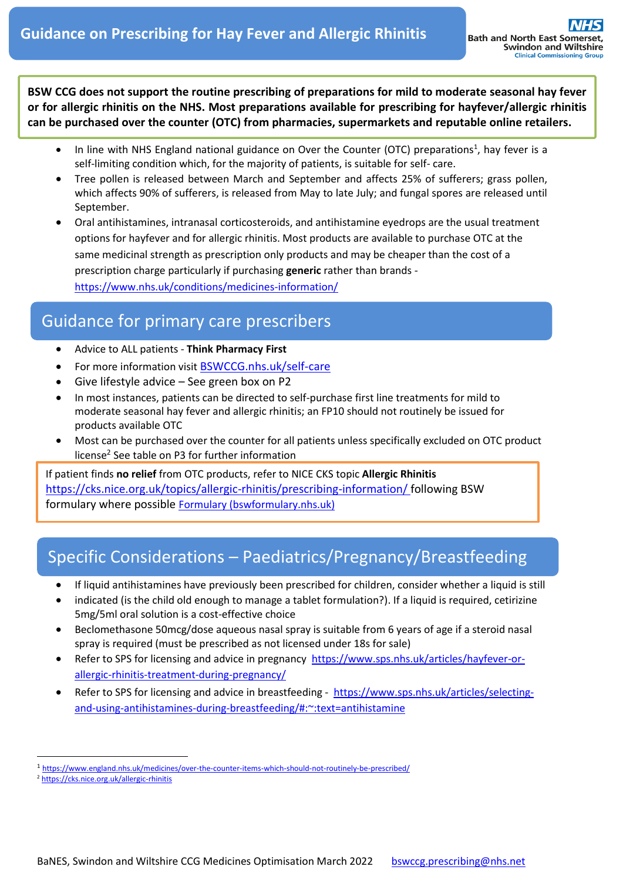**BSW CCG does not support the routine prescribing of preparations for mild to moderate seasonal hay fever or for allergic rhinitis on the NHS. Most preparations available for prescribing for hayfever/allergic rhinitis can be purchased over the counter (OTC) from pharmacies, supermarkets and reputable online retailers.**

- In line with NHS England national guidance on Over the Counter (OTC) preparations<sup>1</sup>, hay fever is a self-limiting condition which, for the majority of patients, is suitable for self- care.
- Tree pollen is released between March and September and affects 25% of sufferers; grass pollen, which affects 90% of sufferers, is released from May to late July; and fungal spores are released until September.
- Oral antihistamines, intranasal corticosteroids, and antihistamine eyedrops are the usual treatment options for hayfever and for allergic rhinitis. Most products are available to purchase OTC at the same medicinal strength as prescription only products and may be cheaper than the cost of a prescription charge particularly if purchasing **generic** rather than brands <https://www.nhs.uk/conditions/medicines-information/>

## Guidance for primary care prescribers

- Advice to ALL patients **Think Pharmacy First**
- For more information visit [BSWCCG.nhs.uk/self-care](https://prescribing.bswccg.nhs.uk/?wpdmdl=5304)
- Give lifestyle advice See green box on P2
- In most instances, patients can be directed to self-purchase first line treatments for mild to moderate seasonal hay fever and allergic rhinitis; an FP10 should not routinely be issued for products available OTC
- Most can be purchased over the counter for all patients unless specifically excluded on OTC product license<sup>2</sup> See table on P3 for further information

If patient finds **no relief** from OTC products, refer to NICE CKS topic **Allergic Rhinitis** <https://cks.nice.org.uk/topics/allergic-rhinitis/prescribing-information/> following BSW formulary where possible **[Formulary \(bswformulary.nhs.uk\)](http://bswformulary.nhs.uk/chaptersSub.asp?FormularySectionID=3)** 

# Specific Considerations – Paediatrics/Pregnancy/Breastfeeding

- If liquid antihistamines have previously been prescribed for children, consider whether a liquid is still
- indicated (is the child old enough to manage a tablet formulation?). If a liquid is required, cetirizine 5mg/5ml oral solution is a cost-effective choice
- Beclomethasone 50mcg/dose aqueous nasal spray is suitable from 6 years of age if a steroid nasal spray is required (must be prescribed as not licensed under 18s for sale)
- Refer to SPS for licensing and advice in pregnancy [https://www.sps.nhs.uk/articles/hayfever-or](https://www.sps.nhs.uk/articles/hayfever-or-allergic-rhinitis-treatment-during-pregnancy/)[allergic-rhinitis-treatment-during-pregnancy/](https://www.sps.nhs.uk/articles/hayfever-or-allergic-rhinitis-treatment-during-pregnancy/)
- Refer to SPS for licensing and advice in breastfeeding [https://www.sps.nhs.uk/articles/selecting](https://www.sps.nhs.uk/articles/selecting-and-using-antihistamines-during-breastfeeding/#:~:text=antihistamine)[and-using-antihistamines-during-breastfeeding/#:~:text=antihistamine](https://www.sps.nhs.uk/articles/selecting-and-using-antihistamines-during-breastfeeding/#:~:text=antihistamine)

<sup>1</sup> <https://www.england.nhs.uk/medicines/over-the-counter-items-which-should-not-routinely-be-prescribed/>

<sup>2</sup> <https://cks.nice.org.uk/allergic-rhinitis>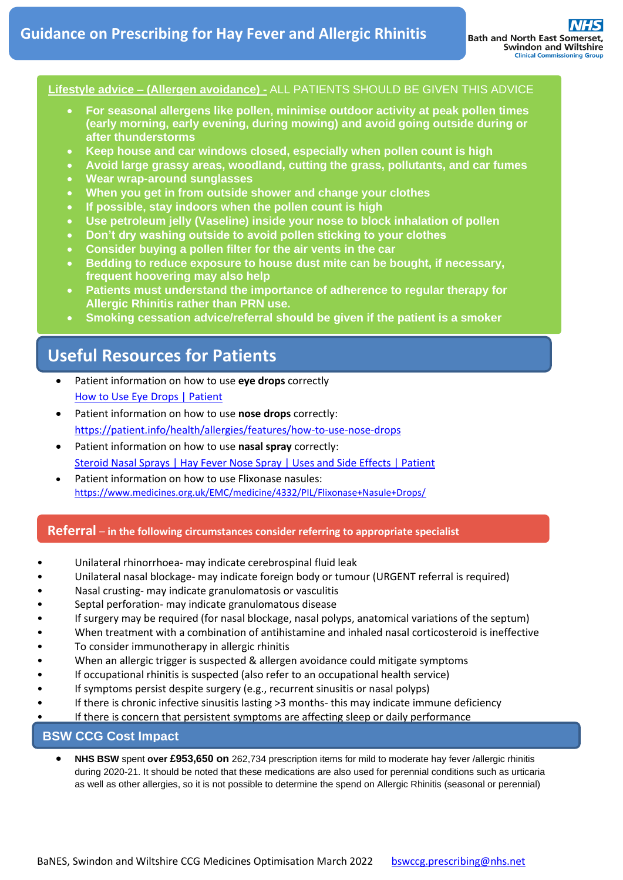#### **Lifestyle advice – (Allergen avoidance) -** ALL PATIENTS SHOULD BE GIVEN THIS ADVICE

- **For seasonal allergens like pollen, minimise outdoor activity at peak pollen times (early morning, early evening, during mowing) and avoid going outside during or after thunderstorms**
- **Keep house and car windows closed, especially when pollen count is high**
- **Avoid large grassy areas, woodland, cutting the grass, pollutants, and car fumes**
- **Wear wrap-around sunglasses**
- **When you get in from outside shower and change your clothes**
- **If possible, stay indoors when the pollen count is high**
- **Use petroleum jelly (Vaseline) inside your nose to block inhalation of pollen**
- **Don't dry washing outside to avoid pollen sticking to your clothes**
- **Consider buying a pollen filter for the air vents in the car**
- **Bedding to reduce exposure to house dust mite can be bought, if necessary, frequent hoovering may also help**
- **Patients must understand the importance of adherence to regular therapy for Allergic Rhinitis rather than PRN use.**
- **Smoking cessation advice/referral should be given if the patient is a smoker**

### **Useful Resources for Patients**

- Patient information on how to use **eye drops** correctly [How to Use Eye Drops | Patient](https://patient.info/news-and-features/how-to-use-eye-drops)
- Patient information on how to use **nose drops** correctly: <https://patient.info/health/allergies/features/how-to-use-nose-drops>
- Patient information on how to use **nasal spray** correctly: [Steroid Nasal Sprays | Hay Fever Nose Spray | Uses and Side Effects | Patient](https://patient.info/treatment-medication/steroids/steroid-nasal-sprays#nav-1)
- Patient information on how to use Flixonase nasules: <https://www.medicines.org.uk/EMC/medicine/4332/PIL/Flixonase+Nasule+Drops/>

### **Referral** – **in the following circumstances consider referring to appropriate specialist**

- Unilateral rhinorrhoea- may indicate cerebrospinal fluid leak
- Unilateral nasal blockage- may indicate foreign body or tumour (URGENT referral is required)
- Nasal crusting- may indicate granulomatosis or vasculitis
- Septal perforation- may indicate granulomatous disease
- If surgery may be required (for nasal blockage, nasal polyps, anatomical variations of the septum)
- When treatment with a combination of antihistamine and inhaled nasal corticosteroid is ineffective
- To consider immunotherapy in allergic rhinitis
- When an allergic trigger is suspected & allergen avoidance could mitigate symptoms
- If occupational rhinitis is suspected (also refer to an occupational health service)
- If symptoms persist despite surgery (e.g., recurrent sinusitis or nasal polyps)
- If there is chronic infective sinusitis lasting >3 months- this may indicate immune deficiency
- If there is concern that persistent symptoms are affecting sleep or daily performance

### **BSW CCG Cost Impact**

• **NHS BSW** spent **over £953,650 on** 262,734 prescription items for mild to moderate hay fever /allergic rhinitis during 2020-21. It should be noted that these medications are also used for perennial conditions such as urticaria as well as other allergies, so it is not possible to determine the spend on Allergic Rhinitis (seasonal or perennial)